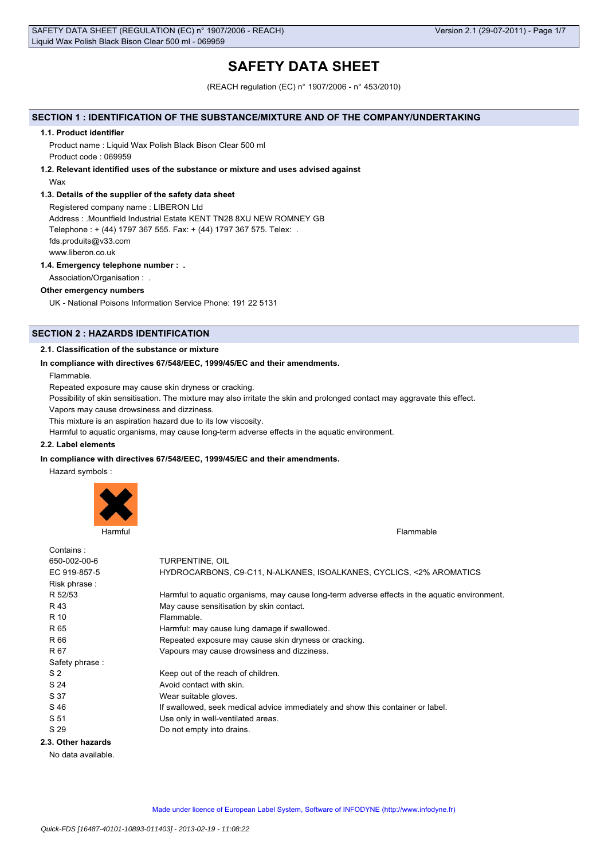# **SAFETY DATA SHEET**

(REACH regulation (EC) n° 1907/2006 - n° 453/2010)

### **SECTION 1 : IDENTIFICATION OF THE SUBSTANCE/MIXTURE AND OF THE COMPANY/UNDERTAKING**

#### **1.1. Product identifier**

Product name : Liquid Wax Polish Black Bison Clear 500 ml Product code : 069959

# **1.2. Relevant identified uses of the substance or mixture and uses advised against**

Wax

### **1.3. Details of the supplier of the safety data sheet**

Registered company name : LIBERON Ltd Address : .Mountfield Industrial Estate KENT TN28 8XU NEW ROMNEY GB Telephone : + (44) 1797 367 555. Fax: + (44) 1797 367 575. Telex: . fds.produits@v33.com www.liberon.co.uk

### **1.4. Emergency telephone number : .**

Association/Organisation : .

### **Other emergency numbers**

UK - National Poisons Information Service Phone: 191 22 5131

# **SECTION 2 : HAZARDS IDENTIFICATION**

### **2.1. Classification of the substance or mixture**

### **In compliance with directives 67/548/EEC, 1999/45/EC and their amendments.**

Flammable.

Repeated exposure may cause skin dryness or cracking.

Possibility of skin sensitisation. The mixture may also irritate the skin and prolonged contact may aggravate this effect.

Vapors may cause drowsiness and dizziness.

This mixture is an aspiration hazard due to its low viscosity.

Harmful to aquatic organisms, may cause long-term adverse effects in the aquatic environment.

#### **2.2. Label elements**

#### **In compliance with directives 67/548/EEC, 1999/45/EC and their amendments.**

Hazard symbols :



| Contains:          |                                                                                               |
|--------------------|-----------------------------------------------------------------------------------------------|
| 650-002-00-6       | TURPENTINE, OIL                                                                               |
| EC 919-857-5       | HYDROCARBONS, C9-C11, N-ALKANES, ISOALKANES, CYCLICS, <2% AROMATICS                           |
| Risk phrase:       |                                                                                               |
| R 52/53            | Harmful to aquatic organisms, may cause long-term adverse effects in the aquatic environment. |
| R 43               | May cause sensitisation by skin contact.                                                      |
| R 10               | Flammable.                                                                                    |
| R 65               | Harmful: may cause lung damage if swallowed.                                                  |
| R 66               | Repeated exposure may cause skin dryness or cracking.                                         |
| R 67               | Vapours may cause drowsiness and dizziness.                                                   |
| Safety phrase:     |                                                                                               |
| S <sub>2</sub>     | Keep out of the reach of children.                                                            |
| S 24               | Avoid contact with skin.                                                                      |
| S 37               | Wear suitable gloves.                                                                         |
| S 46               | If swallowed, seek medical advice immediately and show this container or label.               |
| S 51               | Use only in well-ventilated areas.                                                            |
| S 29               | Do not empty into drains.                                                                     |
| 2.3. Other hazards |                                                                                               |

No data available.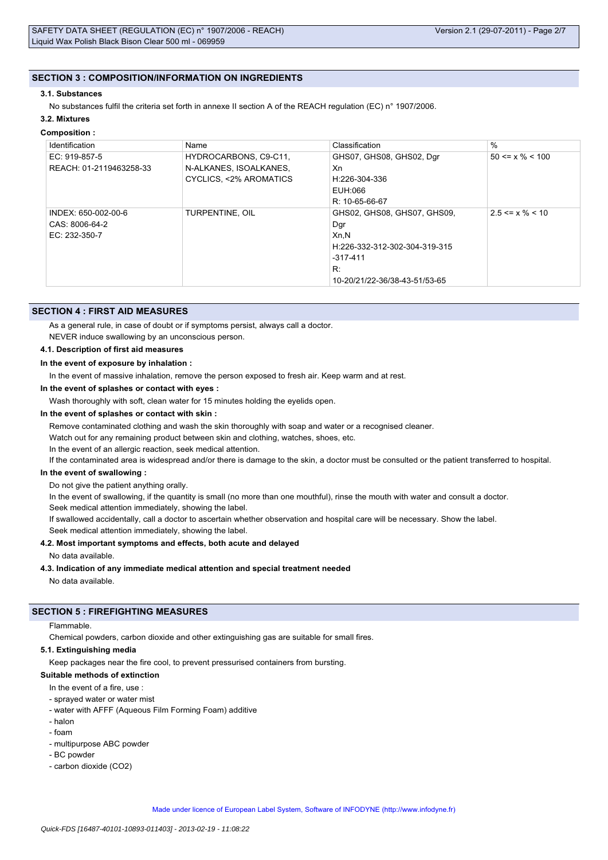### **SECTION 3 : COMPOSITION/INFORMATION ON INGREDIENTS**

#### **3.1. Substances**

No substances fulfil the criteria set forth in annexe II section A of the REACH regulation (EC) n° 1907/2006.

# **3.2. Mixtures**

#### **Composition :**

| Identification          | Name                   | Classification                | $\%$                  |
|-------------------------|------------------------|-------------------------------|-----------------------|
| EC: 919-857-5           | HYDROCARBONS, C9-C11,  | GHS07, GHS08, GHS02, Dgr      | $50 \le x \% \le 100$ |
| REACH: 01-2119463258-33 | N-ALKANES, ISOALKANES, | Xn                            |                       |
|                         | CYCLICS, <2% AROMATICS | H:226-304-336                 |                       |
|                         |                        | EUH:066                       |                       |
|                         |                        | R: 10-65-66-67                |                       |
| INDEX: 650-002-00-6     | TURPENTINE, OIL        | GHS02, GHS08, GHS07, GHS09,   | $2.5 \le x \% \le 10$ |
| CAS: 8006-64-2          |                        | Dgr                           |                       |
| EC: 232-350-7           |                        | Xn.N                          |                       |
|                         |                        | H:226-332-312-302-304-319-315 |                       |
|                         |                        | $-317-411$                    |                       |
|                         |                        | R:                            |                       |
|                         |                        | 10-20/21/22-36/38-43-51/53-65 |                       |

### **SECTION 4 : FIRST AID MEASURES**

As a general rule, in case of doubt or if symptoms persist, always call a doctor.

NEVER induce swallowing by an unconscious person.

#### **4.1. Description of first aid measures**

### **In the event of exposure by inhalation :**

In the event of massive inhalation, remove the person exposed to fresh air. Keep warm and at rest.

**In the event of splashes or contact with eyes :**

Wash thoroughly with soft, clean water for 15 minutes holding the eyelids open.

### **In the event of splashes or contact with skin :**

Remove contaminated clothing and wash the skin thoroughly with soap and water or a recognised cleaner.

Watch out for any remaining product between skin and clothing, watches, shoes, etc.

In the event of an allergic reaction, seek medical attention.

If the contaminated area is widespread and/or there is damage to the skin, a doctor must be consulted or the patient transferred to hospital.

#### **In the event of swallowing :**

Do not give the patient anything orally.

In the event of swallowing, if the quantity is small (no more than one mouthful), rinse the mouth with water and consult a doctor. Seek medical attention immediately, showing the label.

If swallowed accidentally, call a doctor to ascertain whether observation and hospital care will be necessary. Show the label.

Seek medical attention immediately, showing the label.

### **4.2. Most important symptoms and effects, both acute and delayed**

No data available.

### **4.3. Indication of any immediate medical attention and special treatment needed**

No data available.

### **SECTION 5 : FIREFIGHTING MEASURES**

#### Flammable.

Chemical powders, carbon dioxide and other extinguishing gas are suitable for small fires.

### **5.1. Extinguishing media**

Keep packages near the fire cool, to prevent pressurised containers from bursting.

#### **Suitable methods of extinction**

In the event of a fire, use

- sprayed water or water mist
- water with AFFF (Aqueous Film Forming Foam) additive
- halon
- foam
- multipurpose ABC powder
- BC powder
- carbon dioxide (CO2)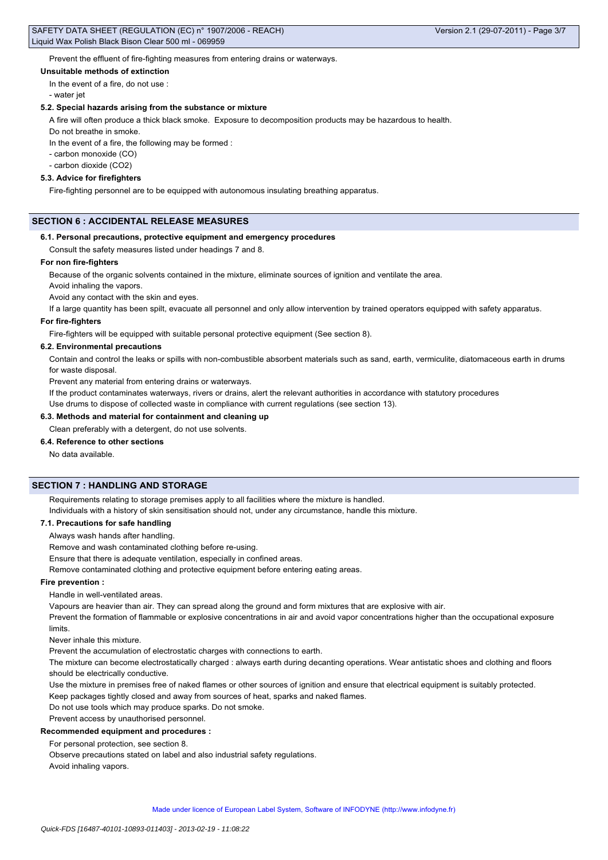Prevent the effluent of fire-fighting measures from entering drains or waterways.

#### **Unsuitable methods of extinction**

In the event of a fire, do not use :

- water jet

#### **5.2. Special hazards arising from the substance or mixture**

A fire will often produce a thick black smoke. Exposure to decomposition products may be hazardous to health.

Do not breathe in smoke.

In the event of a fire, the following may be formed :

- carbon monoxide (CO)

- carbon dioxide (CO2)

#### **5.3. Advice for firefighters**

Fire-fighting personnel are to be equipped with autonomous insulating breathing apparatus.

### **SECTION 6 : ACCIDENTAL RELEASE MEASURES**

#### **6.1. Personal precautions, protective equipment and emergency procedures**

Consult the safety measures listed under headings 7 and 8.

#### **For non fire-fighters**

Because of the organic solvents contained in the mixture, eliminate sources of ignition and ventilate the area.

Avoid inhaling the vapors.

Avoid any contact with the skin and eyes.

If a large quantity has been spilt, evacuate all personnel and only allow intervention by trained operators equipped with safety apparatus.

#### **For fire-fighters**

Fire-fighters will be equipped with suitable personal protective equipment (See section 8).

#### **6.2. Environmental precautions**

Contain and control the leaks or spills with non-combustible absorbent materials such as sand, earth, vermiculite, diatomaceous earth in drums for waste disposal.

Prevent any material from entering drains or waterways.

If the product contaminates waterways, rivers or drains, alert the relevant authorities in accordance with statutory procedures

Use drums to dispose of collected waste in compliance with current regulations (see section 13).

### **6.3. Methods and material for containment and cleaning up**

Clean preferably with a detergent, do not use solvents.

### **6.4. Reference to other sections**

No data available.

### **SECTION 7 : HANDLING AND STORAGE**

Requirements relating to storage premises apply to all facilities where the mixture is handled.

Individuals with a history of skin sensitisation should not, under any circumstance, handle this mixture.

#### **7.1. Precautions for safe handling**

Always wash hands after handling.

Remove and wash contaminated clothing before re-using.

Ensure that there is adequate ventilation, especially in confined areas.

Remove contaminated clothing and protective equipment before entering eating areas.

### **Fire prevention :**

Handle in well-ventilated areas.

Vapours are heavier than air. They can spread along the ground and form mixtures that are explosive with air.

Prevent the formation of flammable or explosive concentrations in air and avoid vapor concentrations higher than the occupational exposure limits.

Never inhale this mixture.

Prevent the accumulation of electrostatic charges with connections to earth.

The mixture can become electrostatically charged : always earth during decanting operations. Wear antistatic shoes and clothing and floors should be electrically conductive.

Use the mixture in premises free of naked flames or other sources of ignition and ensure that electrical equipment is suitably protected.

Keep packages tightly closed and away from sources of heat, sparks and naked flames.

Do not use tools which may produce sparks. Do not smoke.

# Prevent access by unauthorised personnel.

**Recommended equipment and procedures :**

For personal protection, see section 8.

Observe precautions stated on label and also industrial safety regulations. Avoid inhaling vapors.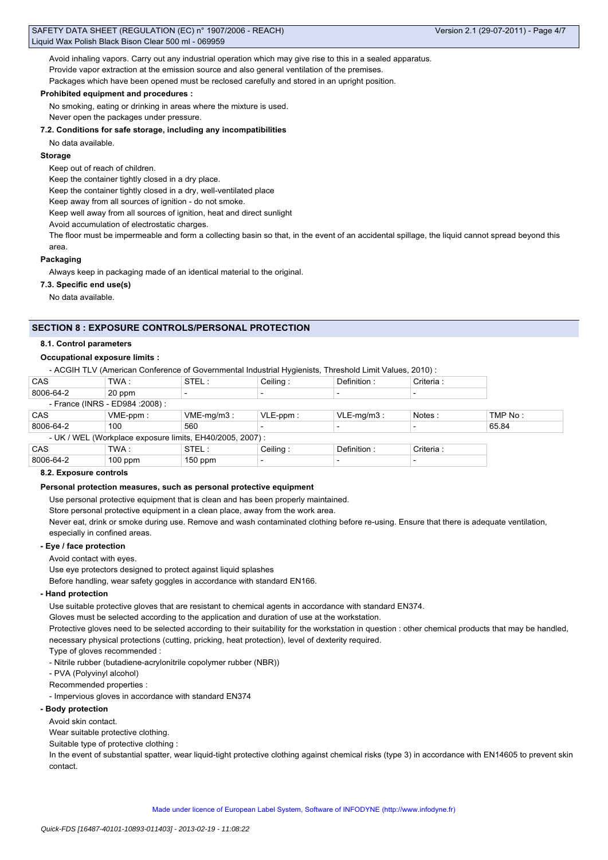Avoid inhaling vapors. Carry out any industrial operation which may give rise to this in a sealed apparatus. Provide vapor extraction at the emission source and also general ventilation of the premises. Packages which have been opened must be reclosed carefully and stored in an upright position.

#### **Prohibited equipment and procedures :**

No smoking, eating or drinking in areas where the mixture is used.

Never open the packages under pressure.

**7.2. Conditions for safe storage, including any incompatibilities**

No data available.

### **Storage**

Keep out of reach of children.

Keep the container tightly closed in a dry place.

Keep the container tightly closed in a dry, well-ventilated place

Keep away from all sources of ignition - do not smoke.

Keep well away from all sources of ignition, heat and direct sunlight

Avoid accumulation of electrostatic charges.

The floor must be impermeable and form a collecting basin so that, in the event of an accidental spillage, the liquid cannot spread beyond this area.

### **Packaging**

Always keep in packaging made of an identical material to the original.

**7.3. Specific end use(s)**

No data available.

## **SECTION 8 : EXPOSURE CONTROLS/PERSONAL PROTECTION**

### **8.1. Control parameters**

### **Occupational exposure limits :**

- ACGIH TLV (American Conference of Governmental Industrial Hygienists, Threshold Limit Values, 2010) :

| <b>CAS</b> | TWA :                            | STEL:                                                     | Ceiling:    | Definition:   | Criteria : |         |
|------------|----------------------------------|-----------------------------------------------------------|-------------|---------------|------------|---------|
| 8006-64-2  | 20 ppm                           |                                                           |             |               |            |         |
|            | - France (INRS - ED984 : 2008) : |                                                           |             |               |            |         |
| <b>CAS</b> | $VME-ppm$ :                      | $VME-mq/m3$ :                                             | $VLE-ppm$ : | $VLE-mq/m3$ : | Notes:     | TMP No: |
| 8006-64-2  | 100                              | 560                                                       |             |               |            | 65.84   |
|            |                                  | - UK / WEL (Workplace exposure limits, EH40/2005, 2007) : |             |               |            |         |
| <b>CAS</b> | TWA:                             | STEL:                                                     | Ceiling:    | Definition:   | Criteria : |         |
| 8006-64-2  | $100$ ppm                        | $150$ ppm                                                 | $\,$        |               |            |         |

### **8.2. Exposure controls**

### **Personal protection measures, such as personal protective equipment**

Use personal protective equipment that is clean and has been properly maintained.

Store personal protective equipment in a clean place, away from the work area.

Never eat, drink or smoke during use. Remove and wash contaminated clothing before re-using. Ensure that there is adequate ventilation, especially in confined areas.

### **- Eye / face protection**

Avoid contact with eyes.

Use eye protectors designed to protect against liquid splashes

Before handling, wear safety goggles in accordance with standard EN166.

### **- Hand protection**

Use suitable protective gloves that are resistant to chemical agents in accordance with standard EN374.

Gloves must be selected according to the application and duration of use at the workstation.

Protective gloves need to be selected according to their suitability for the workstation in question : other chemical products that may be handled, necessary physical protections (cutting, pricking, heat protection), level of dexterity required.

Type of gloves recommended :

- Nitrile rubber (butadiene-acrylonitrile copolymer rubber (NBR))

- PVA (Polyvinyl alcohol)

Recommended properties :

- Impervious gloves in accordance with standard EN374

### **- Body protection**

Avoid skin contact.

Wear suitable protective clothing.

Suitable type of protective clothing :

In the event of substantial spatter, wear liquid-tight protective clothing against chemical risks (type 3) in accordance with EN14605 to prevent skin contact.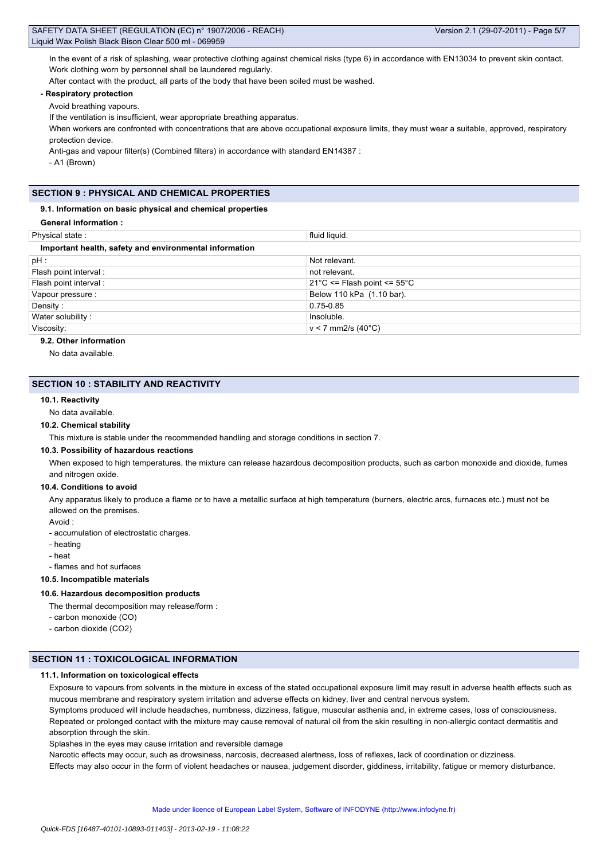| SAFETY DATA SHEET (REGULATION (EC) n° 1907/2006 - REACH) |
|----------------------------------------------------------|
| Liquid Wax Polish Black Bison Clear 500 ml - 069959      |

In the event of a risk of splashing, wear protective clothing against chemical risks (type 6) in accordance with EN13034 to prevent skin contact. Work clothing worn by personnel shall be laundered regularly.

After contact with the product, all parts of the body that have been soiled must be washed.

### **- Respiratory protection**

Avoid breathing vapours.

If the ventilation is insufficient, wear appropriate breathing apparatus.

When workers are confronted with concentrations that are above occupational exposure limits, they must wear a suitable, approved, respiratory protection device.

Anti-gas and vapour filter(s) (Combined filters) in accordance with standard EN14387 :

- A1 (Brown)

### **SECTION 9 : PHYSICAL AND CHEMICAL PROPERTIES**

#### **9.1. Information on basic physical and chemical properties**

| Physical state:                                        | fluid liquid.                                   |  |  |  |  |
|--------------------------------------------------------|-------------------------------------------------|--|--|--|--|
| Important health, safety and environmental information |                                                 |  |  |  |  |
| $pH$ :                                                 | Not relevant.                                   |  |  |  |  |
| Flash point interval:                                  | not relevant.                                   |  |  |  |  |
| Flash point interval :                                 | $21^{\circ}$ C <= Flash point <= $55^{\circ}$ C |  |  |  |  |
| Vapour pressure :                                      | Below 110 kPa (1.10 bar).                       |  |  |  |  |
| Density:                                               | 0.75-0.85                                       |  |  |  |  |
| Water solubility:                                      | Insoluble.                                      |  |  |  |  |
| Viscosity:                                             | $v < 7$ mm2/s (40 $^{\circ}$ C)                 |  |  |  |  |
|                                                        |                                                 |  |  |  |  |

# **9.2. Other information**

No data available.

### **SECTION 10 : STABILITY AND REACTIVITY**

#### **10.1. Reactivity**

No data available.

#### **10.2. Chemical stability**

This mixture is stable under the recommended handling and storage conditions in section 7.

#### **10.3. Possibility of hazardous reactions**

When exposed to high temperatures, the mixture can release hazardous decomposition products, such as carbon monoxide and dioxide, fumes and nitrogen oxide.

#### **10.4. Conditions to avoid**

Any apparatus likely to produce a flame or to have a metallic surface at high temperature (burners, electric arcs, furnaces etc.) must not be allowed on the premises.

Avoid :

- accumulation of electrostatic charges.

- heating
- heat
- flames and hot surfaces

**10.5. Incompatible materials**

#### **10.6. Hazardous decomposition products**

The thermal decomposition may release/form :

- carbon monoxide (CO)
- carbon dioxide (CO2)

### **SECTION 11 : TOXICOLOGICAL INFORMATION**

#### **11.1. Information on toxicological effects**

Exposure to vapours from solvents in the mixture in excess of the stated occupational exposure limit may result in adverse health effects such as mucous membrane and respiratory system irritation and adverse effects on kidney, liver and central nervous system.

Symptoms produced will include headaches, numbness, dizziness, fatigue, muscular asthenia and, in extreme cases, loss of consciousness. Repeated or prolonged contact with the mixture may cause removal of natural oil from the skin resulting in non-allergic contact dermatitis and

absorption through the skin.

Splashes in the eyes may cause irritation and reversible damage

Narcotic effects may occur, such as drowsiness, narcosis, decreased alertness, loss of reflexes, lack of coordination or dizziness.

Effects may also occur in the form of violent headaches or nausea, judgement disorder, giddiness, irritability, fatigue or memory disturbance.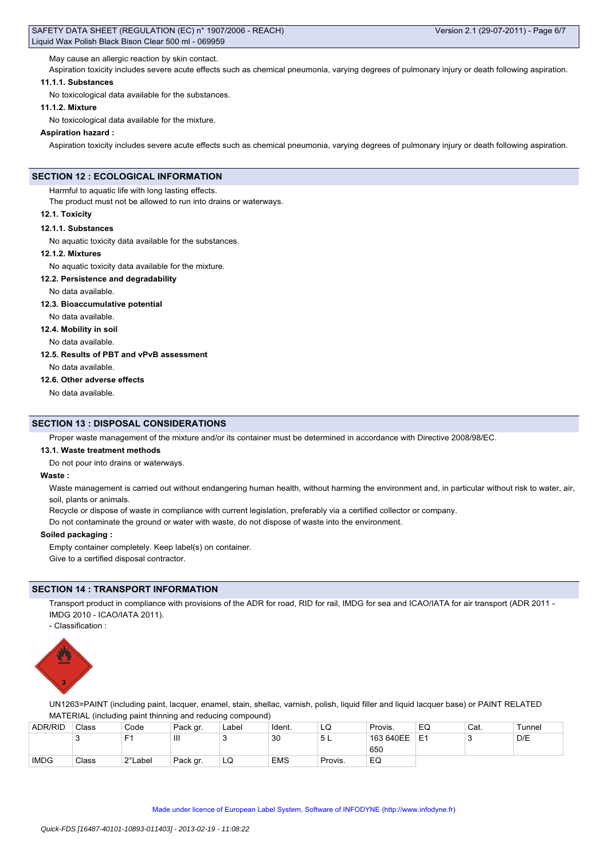May cause an allergic reaction by skin contact.

Aspiration toxicity includes severe acute effects such as chemical pneumonia, varying degrees of pulmonary injury or death following aspiration.

# **11.1.1. Substances**

No toxicological data available for the substances.

#### **11.1.2. Mixture**

No toxicological data available for the mixture.

#### **Aspiration hazard :**

Aspiration toxicity includes severe acute effects such as chemical pneumonia, varying degrees of pulmonary injury or death following aspiration.

### **SECTION 12 : ECOLOGICAL INFORMATION**

Harmful to aquatic life with long lasting effects.

The product must not be allowed to run into drains or waterways.

#### **12.1. Toxicity**

#### **12.1.1. Substances**

No aquatic toxicity data available for the substances.

#### **12.1.2. Mixtures**

No aquatic toxicity data available for the mixture.

#### **12.2. Persistence and degradability**

No data available.

**12.3. Bioaccumulative potential**

### No data available.

**12.4. Mobility in soil**

No data available.

#### **12.5. Results of PBT and vPvB assessment**

No data available.

#### **12.6. Other adverse effects**

No data available.

### **SECTION 13 : DISPOSAL CONSIDERATIONS**

Proper waste management of the mixture and/or its container must be determined in accordance with Directive 2008/98/EC.

#### **13.1. Waste treatment methods**

Do not pour into drains or waterways.

#### **Waste :**

Waste management is carried out without endangering human health, without harming the environment and, in particular without risk to water, air, soil, plants or animals.

Recycle or dispose of waste in compliance with current legislation, preferably via a certified collector or company.

Do not contaminate the ground or water with waste, do not dispose of waste into the environment.

#### **Soiled packaging :**

Empty container completely. Keep label(s) on container.

Give to a certified disposal contractor.

### **SECTION 14 : TRANSPORT INFORMATION**

Transport product in compliance with provisions of the ADR for road, RID for rail, IMDG for sea and ICAO/IATA for air transport (ADR 2011 -IMDG 2010 - ICAO/IATA 2011).

- Classification :



UN1263=PAINT (including paint, lacquer, enamel, stain, shellac, varnish, polish, liquid filler and liquid lacquer base) or PAINT RELATED MATERIAL (including paint thinning and reducing compound)

| <b>ADR/RID</b> | Class | Code    | Pack gr.       | Label | Ident.     | LQ      | Provis.   | EQ | Cat. | Tunnel |
|----------------|-------|---------|----------------|-------|------------|---------|-----------|----|------|--------|
|                | ັ     | Е٠      | $\mathbf{III}$ |       | 30         | 5 L     | 163 640EE | E  |      | D/E    |
|                |       |         |                |       |            |         | 650       |    |      |        |
| <b>IMDG</b>    | Class | 2°Label | Pack gr.       | LQ    | <b>EMS</b> | Provis. | EQ        |    |      |        |